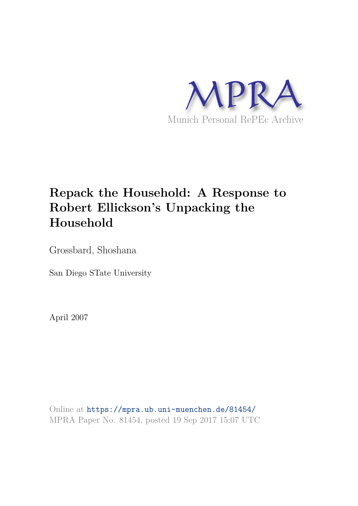

## **Repack the Household: A Response to Robert Ellickson's Unpacking the Household**

Grossbard, Shoshana

San Diego STate University

April 2007

Online at https://mpra.ub.uni-muenchen.de/81454/ MPRA Paper No. 81454, posted 19 Sep 2017 15:07 UTC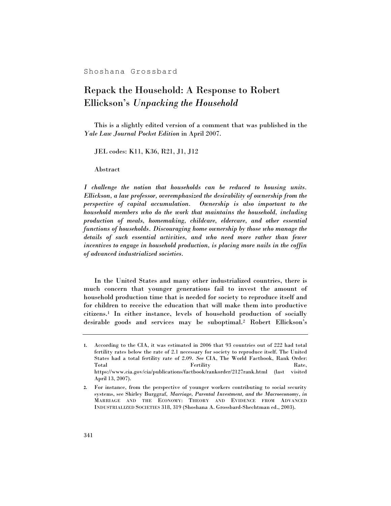Shoshana Grossbard

## Repack the Household: A Response to Robert Ellickson's *Unpacking the Household*

This is a slightly edited version of a comment that was published in the *Yale Law Journal Pocket Edition* in April 2007.

JEL codes: K11, K36, R21, J1, J12

Abstract

*I challenge the notion that households can be reduced to housing units. Ellickson, a law professor, overemphasized the desirability of ownership from the perspective of capital accumulation. Ownership is also important to the household members who do the work that maintains the household, including production of meals, homemaking, childcare, eldercare, and other essential functions of households. Discouraging home ownership by those who manage the details of such essential activities, and who need more rather than fewer incentives to engage in household production, is placing more nails in the coffin of advanced industrialized societies.* 

In the United States and many other industrialized countries, there is much concern that younger generations fail to invest the amount of household production time that is needed for society to reproduce itself and for children to receive the education that will make them into productive citizens.1 In either instance, levels of household production of socially desirable goods and services may be suboptimal.2 Robert Ellickson's

**<sup>1.</sup>** According to the CIA, it was estimated in 2006 that 93 countries out of 222 had total fertility rates below the rate of 2.1 necessary for society to reproduce itself. The United States had a total fertility rate of 2.09. *See* CIA, The World Factbook, Rank Order: Total **Fertility** Rate, Rate, https://www.cia.gov/cia/publications/factbook/rankorder/2127rank.html (last visited April 13, 2007).

**<sup>2.</sup>** For instance, from the perspective of younger workers contributing to social security systems, see Shirley Burggraf, *Marriage, Parental Investment, and the Macroeconomy*, *in* MARRIAGE AND THE ECONOMY: THEORY AND EVIDENCE FROM ADVANCED INDUSTRIALIZED SOCIETIES 318, 319 (Shoshana A. Grossbard-Shechtman ed., 2003).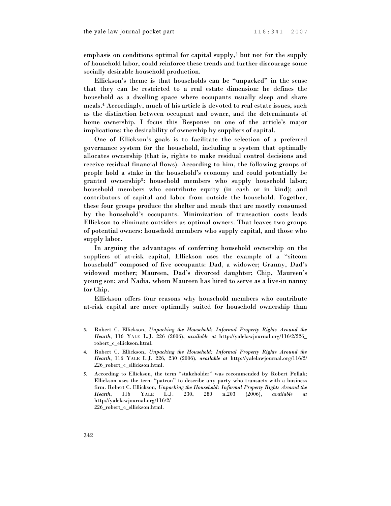emphasis on conditions optimal for capital supply,3 but not for the supply of household labor, could reinforce these trends and further discourage some socially desirable household production.

Ellickson's theme is that households can be "unpacked" in the sense that they can be restricted to a real estate dimension: he defines the household as a dwelling space where occupants usually sleep and share meals.4 Accordingly, much of his article is devoted to real estate issues, such as the distinction between occupant and owner, and the determinants of home ownership. I focus this Response on one of the article's major implications: the desirability of ownership by suppliers of capital.

One of Ellickson's goals is to facilitate the selection of a preferred governance system for the household, including a system that optimally allocates ownership (that is, rights to make residual control decisions and receive residual financial flows). According to him, the following groups of people hold a stake in the household's economy and could potentially be granted ownership5: household members who supply household labor; household members who contribute equity (in cash or in kind); and contributors of capital and labor from outside the household. Together, these four groups produce the shelter and meals that are mostly consumed by the household's occupants. Minimization of transaction costs leads Ellickson to eliminate outsiders as optimal owners. That leaves two groups of potential owners: household members who supply capital, and those who supply labor.

In arguing the advantages of conferring household ownership on the suppliers of at-risk capital, Ellickson uses the example of a "sitcom household" composed of five occupants: Dad, a widower; Granny, Dad's widowed mother; Maureen, Dad's divorced daughter; Chip, Maureen's young son; and Nadia, whom Maureen has hired to serve as a live-in nanny for Chip.

Ellickson offers four reasons why household members who contribute at-risk capital are more optimally suited for household ownership than

**<sup>3.</sup>** Robert C. Ellickson, *Unpacking the Household: Informal Property Rights Around the Hearth*, 116 YALE L.J. 226 (2006), *available at* http://yalelawjournal.org/116/2/226\_ robert\_c\_ellickson.html.

**<sup>4.</sup>** Robert C. Ellickson, *Unpacking the Household: Informal Property Rights Around the Hearth*, 116 YALE L.J. 226, 230 (2006), *available at* http://yalelawjournal.org/116/2/ 226\_robert\_c\_ellickson.html.

**<sup>5.</sup>** According to Ellickson, the term "stakeholder" was recommended by Robert Pollak; Ellickson uses the term "patron" to describe any party who transacts with a business firm. Robert C. Ellickson, *Unpacking the Household: Informal Property Rights Around the Hearth*, 116 YALE L.J. 230, 280 n.203 (2006), *available at* http://yalelawjournal.org/116/2/ 226\_robert\_c\_ellickson.html.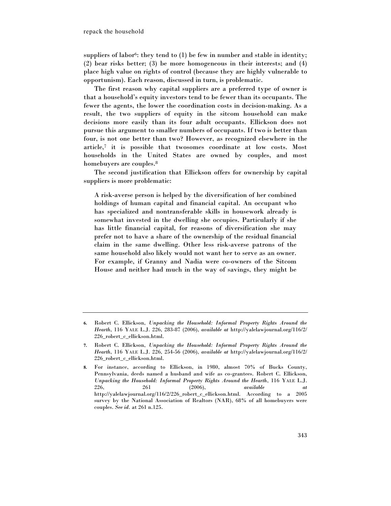suppliers of labor<sup>6</sup>: they tend to  $(1)$  be few in number and stable in identity; (2) bear risks better; (3) be more homogeneous in their interests; and (4) place high value on rights of control (because they are highly vulnerable to opportunism). Each reason, discussed in turn, is problematic.

The first reason why capital suppliers are a preferred type of owner is that a household's equity investors tend to be fewer than its occupants. The fewer the agents, the lower the coordination costs in decision-making. As a result, the two suppliers of equity in the sitcom household can make decisions more easily than its four adult occupants. Ellickson does not pursue this argument to smaller numbers of occupants. If two is better than four, is not one better than two? However, as recognized elsewhere in the article,7 it is possible that twosomes coordinate at low costs. Most households in the United States are owned by couples, and most homebuyers are couples.<sup>8</sup>

The second justification that Ellickson offers for ownership by capital suppliers is more problematic:

A risk-averse person is helped by the diversification of her combined holdings of human capital and financial capital. An occupant who has specialized and nontransferable skills in housework already is somewhat invested in the dwelling she occupies. Particularly if she has little financial capital, for reasons of diversification she may prefer not to have a share of the ownership of the residual financial claim in the same dwelling. Other less risk-averse patrons of the same household also likely would not want her to serve as an owner. For example, if Granny and Nadia were co-owners of the Sitcom House and neither had much in the way of savings, they might be

**<sup>6.</sup>** Robert C. Ellickson, *Unpacking the Household: Informal Property Rights Around the Hearth*, 116 YALE L.J. 226, 283-87 (2006), *available at* http://yalelawjournal.org/116/2/ 226\_robert\_c\_ellickson.html.

**<sup>7.</sup>** Robert C. Ellickson, *Unpacking the Household: Informal Property Rights Around the Hearth*, 116 YALE L.J. 226, 254-56 (2006), *available at* http://yalelawjournal.org/116/2/ 226\_robert\_c\_ellickson.html.

**<sup>8.</sup>** For instance, according to Ellickson, in 1980, almost 70% of Bucks County, Pennsylvania, deeds named a husband and wife as co-grantees. Robert C. Ellickson, *Unpacking the Household: Informal Property Rights Around the Hearth*, 116 YALE L.J. 226, 261 (2006), *available at* http://yalelawjournal.org/116/2/226\_robert\_c\_ellickson.html. According to a 2005 survey by the National Association of Realtors (NAR), 68% of all homebuyers were couples. *See id.* at 261 n.125.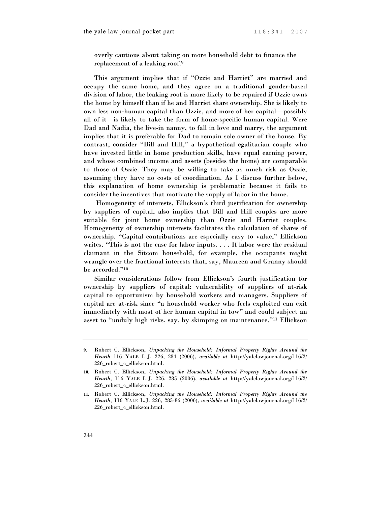overly cautious about taking on more household debt to finance the replacement of a leaking roof.<sup>9</sup>

This argument implies that if "Ozzie and Harriet" are married and occupy the same home, and they agree on a traditional gender-based division of labor, the leaking roof is more likely to be repaired if Ozzie owns the home by himself than if he and Harriet share ownership. She is likely to own less non-human capital than Ozzie, and more of her capital—possibly all of it—is likely to take the form of home-specific human capital. Were Dad and Nadia, the live-in nanny, to fall in love and marry, the argument implies that it is preferable for Dad to remain sole owner of the house. By contrast, consider "Bill and Hill," a hypothetical egalitarian couple who have invested little in home production skills, have equal earning power, and whose combined income and assets (besides the home) are comparable to those of Ozzie. They may be willing to take as much risk as Ozzie, assuming they have no costs of coordination. As I discuss further below, this explanation of home ownership is problematic because it fails to consider the incentives that motivate the supply of labor in the home.

 Homogeneity of interests, Ellickson's third justification for ownership by suppliers of capital, also implies that Bill and Hill couples are more suitable for joint home ownership than Ozzie and Harriet couples. Homogeneity of ownership interests facilitates the calculation of shares of ownership. "Capital contributions are especially easy to value," Ellickson writes. "This is not the case for labor inputs. . . . If labor were the residual claimant in the Sitcom household, for example, the occupants might wrangle over the fractional interests that, say, Maureen and Granny should be accorded."<sup>10</sup>

Similar considerations follow from Ellickson's fourth justification for ownership by suppliers of capital: vulnerability of suppliers of at-risk capital to opportunism by household workers and managers. Suppliers of capital are at-risk since "a household worker who feels exploited can exit immediately with most of her human capital in tow" and could subject an asset to "unduly high risks, say, by skimping on maintenance."11 Ellickson

**<sup>9.</sup>** Robert C. Ellickson, *Unpacking the Household: Informal Property Rights Around the Hearth* 116 YALE L.J. 226, 284 (2006), *available at* http://yalelawjournal.org/116/2/ 226\_robert\_c\_ellickson.html.

**<sup>10.</sup>** Robert C. Ellickson, *Unpacking the Household: Informal Property Rights Around the Hearth*, 116 YALE L.J. 226, 285 (2006), *available at* http://yalelawjournal.org/116/2/ 226\_robert\_c\_ellickson.html.

**<sup>11.</sup>** Robert C. Ellickson, *Unpacking the Household: Informal Property Rights Around the Hearth*, 116 YALE L.J. 226, 285-86 (2006), *available at* http://yalelawjournal.org/116/2/ 226\_robert\_c\_ellickson.html.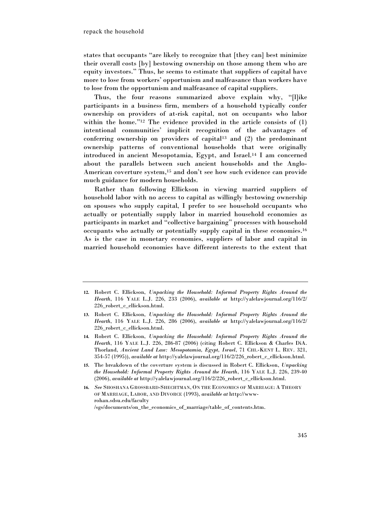states that occupants "are likely to recognize that [they can] best minimize their overall costs [by] bestowing ownership on those among them who are equity investors." Thus, he seems to estimate that suppliers of capital have more to lose from workers' opportunism and malfeasance than workers have to lose from the opportunism and malfeasance of capital suppliers.

Thus, the four reasons summarized above explain why, "[l]ike participants in a business firm, members of a household typically confer ownership on providers of at-risk capital, not on occupants who labor within the home."<sup>12</sup> The evidence provided in the article consists of (1) intentional communities' implicit recognition of the advantages of conferring ownership on providers of capital<sup>13</sup> and  $(2)$  the predominant ownership patterns of conventional households that were originally introduced in ancient Mesopotamia, Egypt, and Israel.14 I am concerned about the parallels between such ancient households and the Anglo-American coverture system,15 and don't see how such evidence can provide much guidance for modern households.

Rather than following Ellickson in viewing married suppliers of household labor with no access to capital as willingly bestowing ownership on spouses who supply capital, I prefer to see household occupants who actually or potentially supply labor in married household economies as participants in market and "collective bargaining" processes with household occupants who actually or potentially supply capital in these economies.<sup>16</sup> As is the case in monetary economies, suppliers of labor and capital in married household economies have different interests to the extent that

- **13.** Robert C. Ellickson, *Unpacking the Household: Informal Property Rights Around the Hearth*, 116 YALE L.J. 226, 286 (2006), *available at* http://yalelawjournal.org/116/2/ 226\_robert\_c\_ellickson.html.
- **14.** Robert C. Ellickson, *Unpacking the Household: Informal Property Rights Around the Hearth*, 116 YALE L.J. 226, 286-87 (2006) (citing Robert C. Ellickson & Charles DiA. Thorland, *Ancient Land Law: Mesopotamia, Egypt, Israel*, 71 CHI.-KENT L. REV. 321, 354-57 (1995)), *available at* http://yalelawjournal.org/116/2/226\_robert\_c\_ellickson.html.
- **15.** The breakdown of the coverture system is discussed in Robert C. Ellickson, *Unpacking the Household: Informal Property Rights Around the Hearth*, 116 YALE L.J. 226, 239-40 (2006), *available at* http://yalelawjournal.org/116/2/226\_robert\_c\_ellickson.html.
- **16.** *See* SHOSHANA GROSSBARD-SHECHTMAN, ON THE ECONOMICS OF MARRIAGE: A THEORY OF MARRIAGE, LABOR, AND DIVORCE (1993), *available at* http://wwwrohan.sdsu.edu/faculty /sgs/documents/on\_the\_economics\_of\_marriage/table\_of\_contents.htm.

**<sup>12.</sup>** Robert C. Ellickson, *Unpacking the Household: Informal Property Rights Around the Hearth*, 116 YALE L.J. 226, 233 (2006), *available at* http://yalelawjournal.org/116/2/ 226\_robert\_c\_ellickson.html.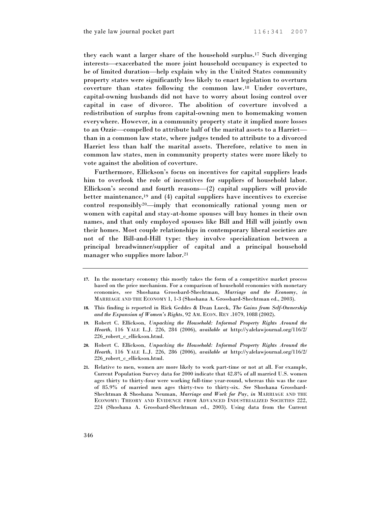they each want a larger share of the household surplus.17 Such diverging interests—exacerbated the more joint household occupancy is expected to be of limited duration—help explain why in the United States community property states were significantly less likely to enact legislation to overturn coverture than states following the common law.18 Under coverture, capital-owning husbands did not have to worry about losing control over capital in case of divorce. The abolition of coverture involved a redistribution of surplus from capital-owning men to homemaking women everywhere. However, in a community property state it implied more losses to an Ozzie—compelled to attribute half of the marital assets to a Harriet than in a common law state, where judges tended to attribute to a divorced Harriet less than half the marital assets. Therefore, relative to men in common law states, men in community property states were more likely to vote against the abolition of coverture.

Furthermore, Ellickson's focus on incentives for capital suppliers leads him to overlook the role of incentives for suppliers of household labor. Ellickson's second and fourth reasons—(2) capital suppliers will provide better maintenance,<sup>19</sup> and  $(4)$  capital suppliers have incentives to exercise control responsibly20—imply that economically rational young men or women with capital and stay-at-home spouses will buy homes in their own names, and that only employed spouses like Bill and Hill will jointly own their homes. Most couple relationships in contemporary liberal societies are not of the Bill-and-Hill type: they involve specialization between a principal breadwinner/supplier of capital and a principal household manager who supplies more labor.<sup>21</sup>

- **17.** In the monetary economy this mostly takes the form of a competitive market process based on the price mechanism. For a comparison of household economies with monetary economies, see Shoshana Grossbard-Shechtman, *Marriage and the Economy*, *in* MARRIAGE AND THE ECONOMY 1, 1-3 (Shoshana A. Grossbard-Shechtman ed., 2003).
- **18.** This finding is reported in Rick Geddes & Dean Lueck, *The Gains from Self-Ownership and the Expansion of Women's Rights*, 92 AM. ECON. REV .1079, 1088 (2002).
- **19.** Robert C. Ellickson, *Unpacking the Household: Informal Property Rights Around the Hearth*, 116 YALE L.J. 226, 284 (2006), *available at* http://yalelawjournal.org/116/2/ 226\_robert\_c\_ellickson.html.
- **20.** Robert C. Ellickson, *Unpacking the Household: Informal Property Rights Around the Hearth*, 116 YALE L.J. 226, 286 (2006), *available at* http://yalelawjournal.org/116/2/ 226\_robert\_c\_ellickson.html.
- **21.** Relative to men, women are more likely to work part-time or not at all. For example, Current Population Survey data for 2000 indicate that 42.8% of all married U.S. women ages thirty to thirty-four were working full-time year-round, whereas this was the case of 85.9% of married men ages thirty-two to thirty-six. *See* Shoshana Grossbard-Shechtman & Shoshana Neuman, *Marriage and Work for Pay*, *in* MARRIAGE AND THE ECONOMY: THEORY AND EVIDENCE FROM ADVANCED INDUSTRIALIZED SOCIETIES 222, 224 (Shoshana A. Grossbard-Shechtman ed., 2003). Using data from the Current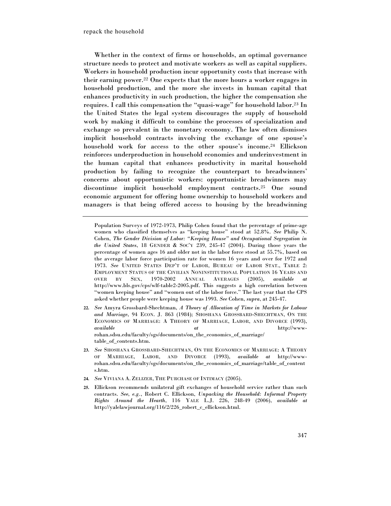Whether in the context of firms or households, an optimal governance structure needs to protect and motivate workers as well as capital suppliers. Workers in household production incur opportunity costs that increase with their earning power.22 One expects that the more hours a worker engages in household production, and the more she invests in human capital that enhances productivity in such production, the higher the compensation she requires. I call this compensation the "quasi-wage" for household labor.23 In the United States the legal system discourages the supply of household work by making it difficult to combine the processes of specialization and exchange so prevalent in the monetary economy. The law often dismisses implicit household contracts involving the exchange of one spouse's household work for access to the other spouse's income.24 Ellickson reinforces underproduction in household economies and underinvestment in the human capital that enhances productivity in marital household production by failing to recognize the counterpart to breadwinners' concerns about opportunistic workers: opportunistic breadwinners may discontinue implicit household employment contracts.25 One sound economic argument for offering home ownership to household workers and managers is that being offered access to housing by the breadwinning

Population Surveys of 1972-1973, Philip Cohen found that the percentage of prime-age women who classified themselves as "keeping house" stood at 52.8%. *See* Philip N. Cohen, *The Gender Division of Labor: "Keeping House" and Occupational Segregation in the United States*, 18 GENDER & SOC'Y 239, 245-47 (2004). During those years the percentage of women ages 16 and older not in the labor force stood at 55.7%, based on the average labor force participation rate for women 16 years and over for 1972 and 1973. *See* UNITED STATES DEP'T OF LABOR, BUREAU OF LABOR STAT., TABLE 2: EMPLOYMENT STATUS OF THE CIVILIAN NONINSTITUTIONAL POPULATION 16 YEARS AND OVER BY SEX, 1970-2002 ANNUAL AVERAGES (2005), *available at* http://www.bls.gov/cps/wlf-table2-2005.pdf. This suggests a high correlation between "women keeping house" and "women out of the labor force." The last year that the CPS asked whether people were keeping house was 1993. *See* Cohen, *supra*, at 245-47.

- **22.** *See* Amyra Grossbard-Shechtman, *A Theory of Allocation of Time in Markets for Labour and Marriage*, 94 ECON. J*.* 863 (1984); SHOSHANA GROSSBARD-SHECHTMAN, ON THE ECONOMICS OF MARRIAGE: A THEORY OF MARRIAGE, LABOR, AND DIVORCE (1993), *available at* http://wwwrohan.sdsu.edu/faculty/sgs/documents/on\_the\_economics\_of\_marriage/ table\_of\_contents.htm.
- **23.** *See* SHOSHANA GROSSBARD-SHECHTMAN, ON THE ECONOMICS OF MARRIAGE: A THEORY OF MARRIAGE, LABOR, AND DIVORCE (1993), *available at* http://wwwrohan.sdsu.edu/faculty/sgs/documents/on\_the\_economics\_of\_marriage/table\_of\_content s.htm.
- **24.** *See* VIVIANA A. ZELIZER, THE PURCHASE OF INTIMACY (2005).

**<sup>25.</sup>** Ellickson recommends unilateral gift exchanges of household service rather than such contracts. *See, e.g.*, Robert C. Ellickson, *Unpacking the Household: Informal Property Rights Around the Hearth*, 116 YALE L.J. 226, 248-49 (2006), *available at* http://yalelawjournal.org/116/2/226\_robert\_c\_ellickson.html.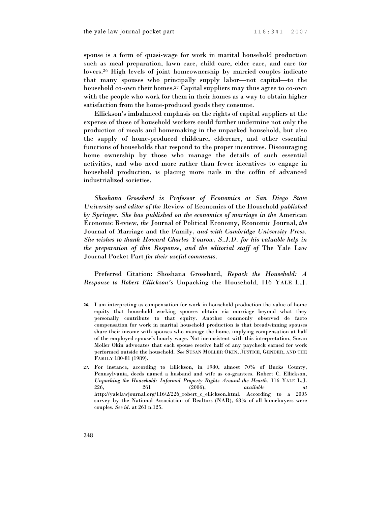spouse is a form of quasi-wage for work in marital household production such as meal preparation, lawn care, child care, elder care, and care for lovers.26 High levels of joint homeownership by married couples indicate that many spouses who principally supply labor—not capital—to the household co-own their homes.27 Capital suppliers may thus agree to co-own with the people who work for them in their homes as a way to obtain higher satisfaction from the home-produced goods they consume.

Ellickson's imbalanced emphasis on the rights of capital suppliers at the expense of those of household workers could further undermine not only the production of meals and homemaking in the unpacked household, but also the supply of home-produced childcare, eldercare, and other essential functions of households that respond to the proper incentives. Discouraging home ownership by those who manage the details of such essential activities, and who need more rather than fewer incentives to engage in household production, is placing more nails in the coffin of advanced industrialized societies.

*Shoshana Grossbard is Professor of Economics at San Diego State University and editor of the* Review of Economics of the Household *published by Springer. She has published on the economics of marriage in the* American Economic Review*, the* Journal of Political Economy*,* Economic Journal*, the* Journal of Marriage and the Family*, and with Cambridge University Press. She wishes to thank Howard Charles Yourow, S.J.D. for his valuable help in the preparation of this Response, and the editorial staff of* The Yale Law Journal Pocket Part *for their useful comments.* 

Preferred Citation: Shoshana Grossbard, *Repack the Household: A Response to Robert Ellickson's* Unpacking the Household, 116 YALE L.J.

**<sup>26.</sup>** I am interpreting as compensation for work in household production the value of home equity that household working spouses obtain via marriage beyond what they personally contribute to that equity. Another commonly observed de facto compensation for work in marital household production is that breadwinning spouses share their income with spouses who manage the home, implying compensation at half of the employed spouse's hourly wage. Not inconsistent with this interpretation, Susan Moller Okin advocates that each spouse receive half of any paycheck earned for work performed outside the household. *See* SUSAN MOLLER OKIN, JUSTICE, GENDER, AND THE FAMILY 180-81 (1989).

**<sup>27.</sup>** For instance, according to Ellickson, in 1980, almost 70% of Bucks County, Pennsylvania, deeds named a husband and wife as co-grantees. Robert C. Ellickson, *Unpacking the Household: Informal Property Rights Around the Hearth*, 116 YALE L.J. 226, 261 (2006), *available at* http://yalelawjournal.org/116/2/226\_robert\_c\_ellickson.html. According to a 2005 survey by the National Association of Realtors (NAR), 68% of all homebuyers were couples. *See id.* at 261 n.125.